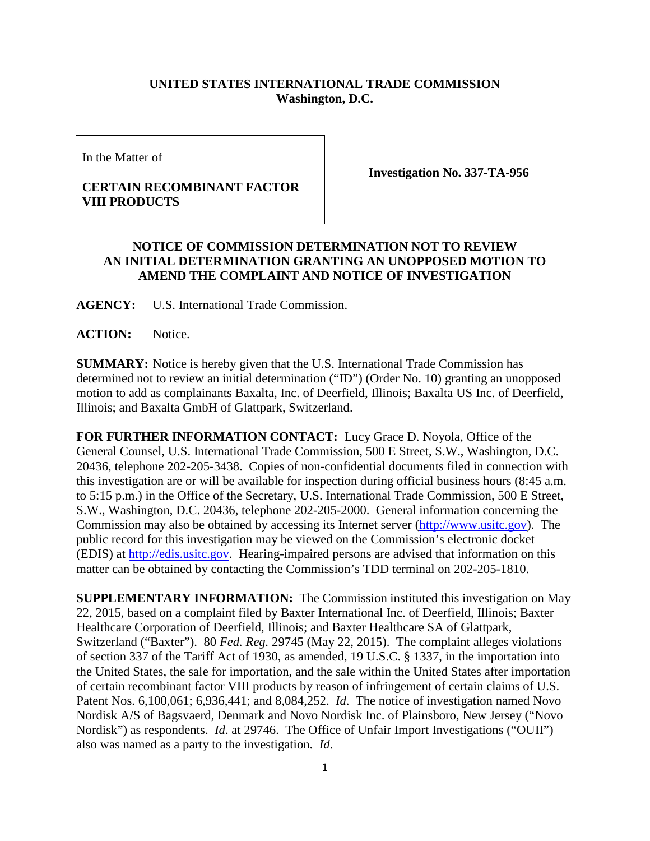## **UNITED STATES INTERNATIONAL TRADE COMMISSION Washington, D.C.**

In the Matter of

## **CERTAIN RECOMBINANT FACTOR VIII PRODUCTS**

**Investigation No. 337-TA-956**

## **NOTICE OF COMMISSION DETERMINATION NOT TO REVIEW AN INITIAL DETERMINATION GRANTING AN UNOPPOSED MOTION TO AMEND THE COMPLAINT AND NOTICE OF INVESTIGATION**

**AGENCY:** U.S. International Trade Commission.

**ACTION:** Notice.

**SUMMARY:** Notice is hereby given that the U.S. International Trade Commission has determined not to review an initial determination ("ID") (Order No. 10) granting an unopposed motion to add as complainants Baxalta, Inc. of Deerfield, Illinois; Baxalta US Inc. of Deerfield, Illinois; and Baxalta GmbH of Glattpark, Switzerland.

**FOR FURTHER INFORMATION CONTACT:** Lucy Grace D. Noyola, Office of the General Counsel, U.S. International Trade Commission, 500 E Street, S.W., Washington, D.C. 20436, telephone 202-205-3438. Copies of non-confidential documents filed in connection with this investigation are or will be available for inspection during official business hours (8:45 a.m. to 5:15 p.m.) in the Office of the Secretary, U.S. International Trade Commission, 500 E Street, S.W., Washington, D.C. 20436, telephone 202-205-2000. General information concerning the Commission may also be obtained by accessing its Internet server [\(http://www.usitc.gov\)](http://www.usitc.gov/). The public record for this investigation may be viewed on the Commission's electronic docket (EDIS) at [http://edis.usitc.gov.](http://edis.usitc.gov/) Hearing-impaired persons are advised that information on this matter can be obtained by contacting the Commission's TDD terminal on 202-205-1810.

**SUPPLEMENTARY INFORMATION:** The Commission instituted this investigation on May 22, 2015, based on a complaint filed by Baxter International Inc. of Deerfield, Illinois; Baxter Healthcare Corporation of Deerfield, Illinois; and Baxter Healthcare SA of Glattpark, Switzerland ("Baxter"). 80 *Fed. Reg.* 29745 (May 22, 2015). The complaint alleges violations of section 337 of the Tariff Act of 1930, as amended, 19 U.S.C. § 1337, in the importation into the United States, the sale for importation, and the sale within the United States after importation of certain recombinant factor VIII products by reason of infringement of certain claims of U.S. Patent Nos. 6,100,061; 6,936,441; and 8,084,252. *Id*. The notice of investigation named Novo Nordisk A/S of Bagsvaerd, Denmark and Novo Nordisk Inc. of Plainsboro, New Jersey ("Novo Nordisk") as respondents. *Id.* at 29746. The Office of Unfair Import Investigations ("OUII") also was named as a party to the investigation. *Id*.